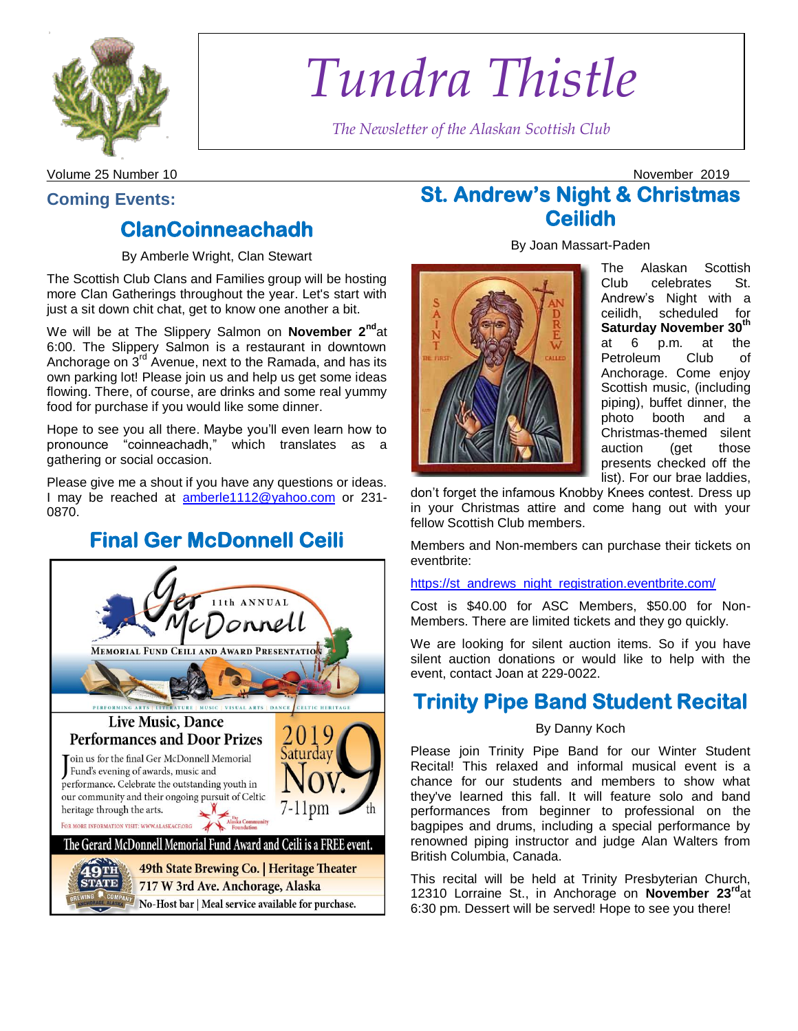

# *Tundra Thistle*

*The Newsletter of the Alaskan Scottish Club*

Volume 25 Number 10 November 2019

### **Coming Events:**

### **[ClanCoinneachadh](https://www.facebook.com/n/?events%2F2531588630259792%2F&ref=6&ref_notif_type=plan_user_invited&action_history=null&aref=1572311798041635&medium=email&mid=59602149cc951G56f73cb1G596025e32cc23G6b&bcode=2.1572311798.AbwtFy58WkHKluGtGsE&n_m=csteen%40gci.net)**

By Amberle Wright, Clan Stewart

The Scottish Club Clans and Families group will be hosting more Clan Gatherings throughout the year. Let's start with just a sit down chit chat, get to know one another a bit.

We will be at The Slippery Salmon on **November 2<sup>nd</sup>at** 6:00. The Slippery Salmon is a restaurant in downtown Anchorage on  $3<sup>rd</sup>$  Avenue, next to the Ramada, and has its own parking lot! Please join us and help us get some ideas flowing. There, of course, are drinks and some real yummy food for purchase if you would like some dinner.

Hope to see you all there. Maybe you'll even learn how to pronounce "coinneachadh," which translates as a gathering or social occasion.

Please give me a shout if you have any questions or ideas. I may be reached at [amberle1112@yahoo.com](mailto:amberle1112@yahoo.com) or 231- 0870.

# **Final Ger McDonnell Ceili**



# **St. Andrew's Night & Christmas Ceilidh**

By Joan Massart-Paden



The Alaskan Scottish Club celebrates St. Andrew's Night with a ceilidh, scheduled for **Saturday November 30th** at 6 p.m. at the Petroleum Club of Anchorage. Come enjoy Scottish music, (including piping), buffet dinner, the photo booth and a Christmas-themed silent auction (get those presents checked off the list). For our brae laddies,

don't forget the infamous Knobby Knees contest. Dress up in your Christmas attire and come hang out with your fellow Scottish Club members.

Members and Non-members can purchase their tickets on eventbrite:

#### [https://st\\_andrews\\_night\\_registration.eventbrite.com/](https://st_andrews_night_registration.eventbrite.com/)

Cost is \$40.00 for ASC Members, \$50.00 for Non-Members. There are limited tickets and they go quickly.

We are looking for silent auction items. So if you have silent auction donations or would like to help with the event, contact Joan at 229-0022.

### **Trinity Pipe Band Student Recital**

#### By Danny Koch

Please join Trinity Pipe Band for our Winter Student Recital! This relaxed and informal musical event is a chance for our students and members to show what they've learned this fall. It will feature solo and band performances from beginner to professional on the bagpipes and drums, including a special performance by renowned piping instructor and judge Alan Walters from British Columbia, Canada.

This recital will be held at Trinity Presbyterian Church, 12310 Lorraine St., in Anchorage on **November 23rd**at 6:30 pm. Dessert will be served! Hope to see you there!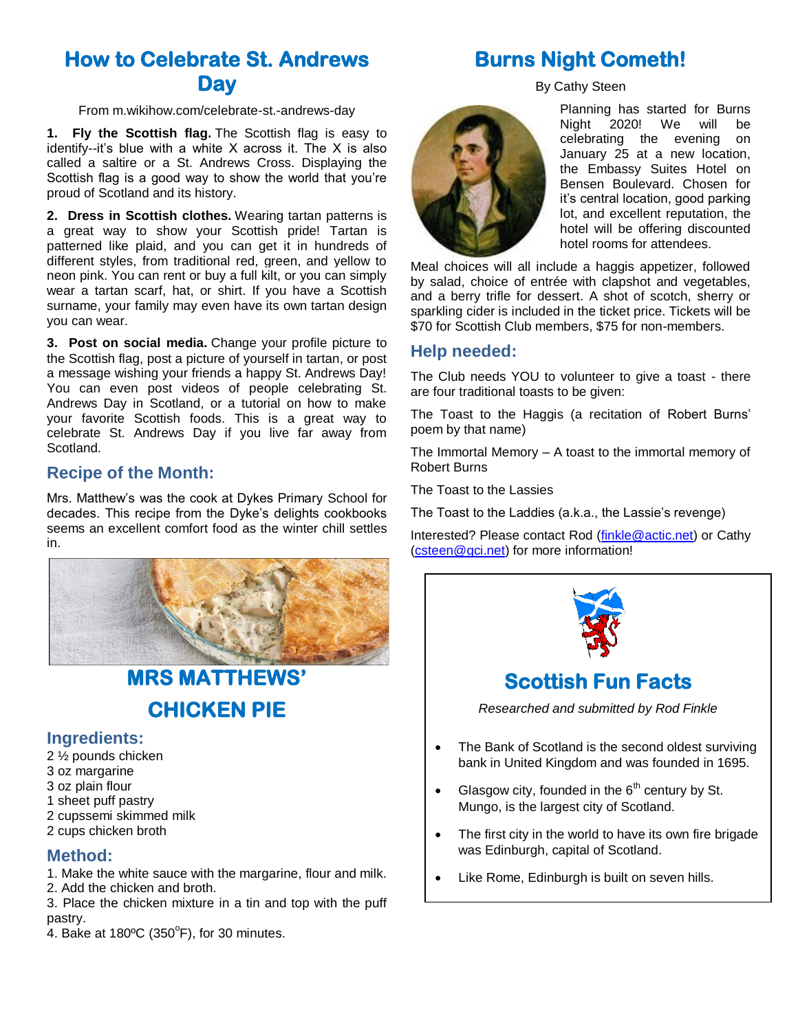### **How to Celebrate St. Andrews Day**

#### From m.wikihow.com/celebrate-st.-andrews-day

**1. Fly the Scottish flag.** The Scottish flag is easy to identify--it's blue with a white X across it. The X is also called a saltire or a St. Andrews Cross. Displaying the Scottish flag is a good way to show the world that you're proud of Scotland and its history.

**2. Dress in Scottish clothes.** Wearing tartan patterns is a great way to show your Scottish pride! Tartan is patterned like plaid, and you can get it in hundreds of different styles, from traditional red, green, and yellow to neon pink. You can rent or buy a full kilt, or you can simply wear a tartan scarf, hat, or shirt. If you have a Scottish surname, your family may even have its own tartan design you can wear.

**3. Post on social media.** Change your profile picture to the Scottish flag, post a picture of yourself in tartan, or post a message wishing your friends a happy St. Andrews Day! You can even post videos of people celebrating St. Andrews Day in Scotland, or a tutorial on how to make your favorite Scottish foods. This is a great way to celebrate St. Andrews Day if you live far away from Scotland.

#### **Recipe of the Month:**

Mrs. Matthew's was the cook at Dykes Primary School for decades. This recipe from the Dyke's delights cookbooks seems an excellent comfort food as the winter chill settles in.



### **MRS MATTHEWS' CHICKEN PIE**

#### **Ingredients:**

- 2 ½ pounds chicken 3 oz margarine 3 oz plain flour
- 1 sheet puff pastry
- 2 cupssemi skimmed milk
- 2 cups chicken broth

#### **Method:**

- 1. Make the white sauce with the margarine, flour and milk.
- 2. Add the chicken and broth.

3. Place the chicken mixture in a tin and top with the puff pastry.

 $\mathcal{A}$ . Bake at 180ºC (350°F), for 30 minutes.

# **Burns Night Cometh!**

By Cathy Steen



Planning has started for Burns Night 2020! We will be celebrating the evening on January 25 at a new location, the Embassy Suites Hotel on Bensen Boulevard. Chosen for it's central location, good parking lot, and excellent reputation, the hotel will be offering discounted hotel rooms for attendees.

Meal choices will all include a haggis appetizer, followed by salad, choice of entrée with clapshot and vegetables, and a berry trifle for dessert. A shot of scotch, sherry or sparkling cider is included in the ticket price. Tickets will be \$70 for Scottish Club members, \$75 for non-members.

### **Help needed:**

The Club needs YOU to volunteer to give a toast - there are four traditional toasts to be given:

The Toast to the Haggis (a recitation of Robert Burns' poem by that name)

The Immortal Memory – A toast to the immortal memory of Robert Burns

The Toast to the Lassies

The Toast to the Laddies (a.k.a., the Lassie's revenge)

Interested? Please contact Rod [\(finkle@actic.net\)](mailto:finkle@actic.net) or Cathy [\(csteen@gci.net\)](mailto:csteen@gci.net) for more information!



- *Researched and submitted by Rod Finkle*
- The Bank of Scotland is the second oldest surviving bank in United Kingdom and was founded in 1695.
- Glasgow city, founded in the  $6<sup>th</sup>$  century by St. Mungo, is the largest city of Scotland.
- The first city in the world to have its own fire brigade was Edinburgh, capital of Scotland.
- Like Rome, Edinburgh is built on seven hills.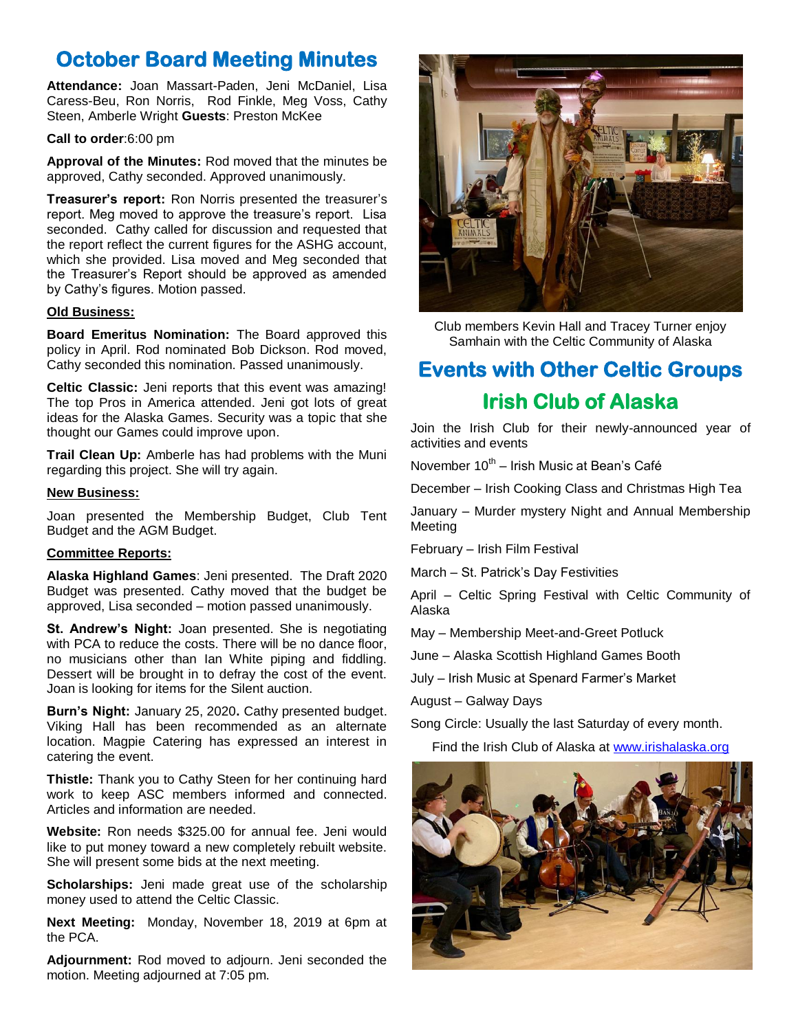# **October Board Meeting Minutes**

**Attendance:** Joan Massart-Paden, Jeni McDaniel, Lisa Caress-Beu, Ron Norris, Rod Finkle, Meg Voss, Cathy Steen, Amberle Wright **Guests**: Preston McKee

#### **Call to order**:6:00 pm

**Approval of the Minutes:** Rod moved that the minutes be approved, Cathy seconded. Approved unanimously.

**Treasurer's report:** Ron Norris presented the treasurer's report. Meg moved to approve the treasure's report. Lisa seconded. Cathy called for discussion and requested that the report reflect the current figures for the ASHG account, which she provided. Lisa moved and Meg seconded that the Treasurer's Report should be approved as amended by Cathy's figures. Motion passed.

#### **Old Business:**

**Board Emeritus Nomination:** The Board approved this policy in April. Rod nominated Bob Dickson. Rod moved, Cathy seconded this nomination. Passed unanimously.

**Celtic Classic:** Jeni reports that this event was amazing! The top Pros in America attended. Jeni got lots of great ideas for the Alaska Games. Security was a topic that she thought our Games could improve upon.

**Trail Clean Up:** Amberle has had problems with the Muni regarding this project. She will try again.

#### **New Business:**

Joan presented the Membership Budget, Club Tent Budget and the AGM Budget.

#### **Committee Reports:**

**Alaska Highland Games**: Jeni presented. The Draft 2020 Budget was presented. Cathy moved that the budget be approved, Lisa seconded – motion passed unanimously.

**St. Andrew's Night:** Joan presented. She is negotiating with PCA to reduce the costs. There will be no dance floor, no musicians other than Ian White piping and fiddling. Dessert will be brought in to defray the cost of the event. Joan is looking for items for the Silent auction.

**Burn's Night:** January 25, 2020**.** Cathy presented budget. Viking Hall has been recommended as an alternate location. Magpie Catering has expressed an interest in catering the event.

**Thistle:** Thank you to Cathy Steen for her continuing hard work to keep ASC members informed and connected. Articles and information are needed.

**Website:** Ron needs \$325.00 for annual fee. Jeni would like to put money toward a new completely rebuilt website. She will present some bids at the next meeting.

**Scholarships:** Jeni made great use of the scholarship money used to attend the Celtic Classic.

**Next Meeting:** Monday, November 18, 2019 at 6pm at the PCA.

**Adjournment:** Rod moved to adjourn. Jeni seconded the motion. Meeting adjourned at 7:05 pm.



Club members Kevin Hall and Tracey Turner enjoy Samhain with the Celtic Community of Alaska

# **Events with Other Celtic Groups Irish Club of Alaska**

Join the Irish Club for their newly-announced year of activities and events

November 10<sup>th</sup> – Irish Music at Bean's Café

December – Irish Cooking Class and Christmas High Tea

January – Murder mystery Night and Annual Membership Meeting

February – Irish Film Festival

March – St. Patrick's Day Festivities

April – Celtic Spring Festival with Celtic Community of Alaska

May – Membership Meet-and-Greet Potluck

June – Alaska Scottish Highland Games Booth

July – Irish Music at Spenard Farmer's Market

August – Galway Days

Song Circle: Usually the last Saturday of every month.

Find the Irish Club of Alaska a[t www.irishalaska.org](http://www.irishalaska.org/)

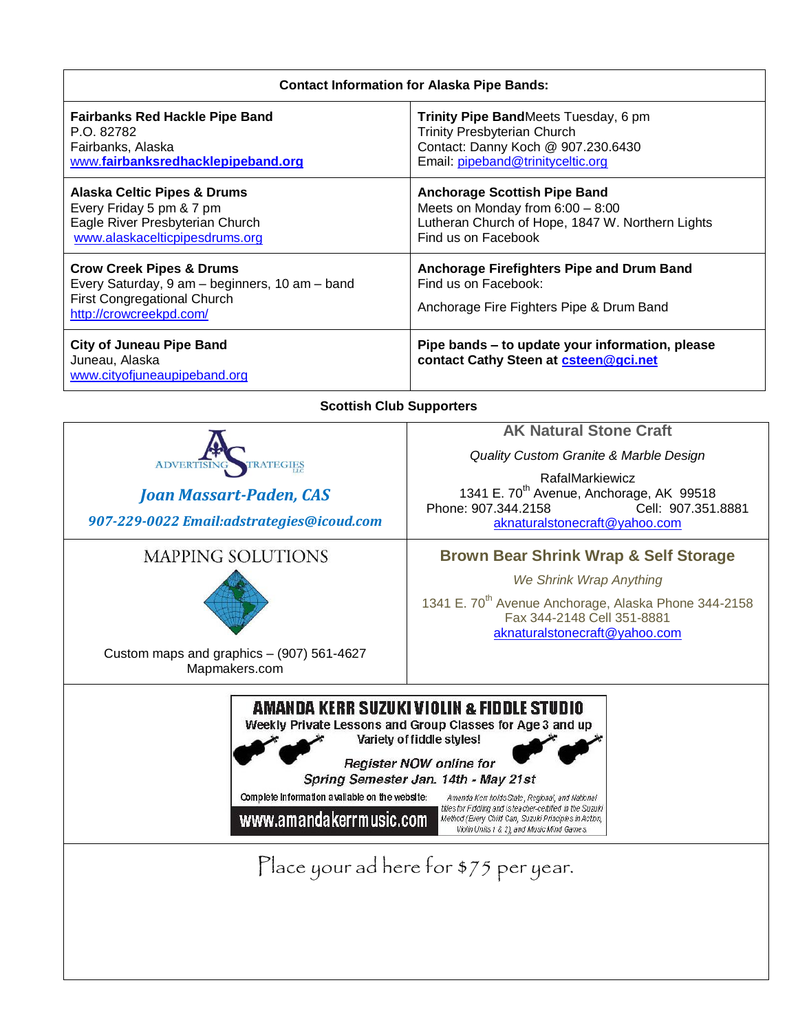| <b>Contact Information for Alaska Pipe Bands:</b>                                                                                                                                                                                                                                                                                                                                                                                                                                                                                                    |                                                                                                                                                                                                                |
|------------------------------------------------------------------------------------------------------------------------------------------------------------------------------------------------------------------------------------------------------------------------------------------------------------------------------------------------------------------------------------------------------------------------------------------------------------------------------------------------------------------------------------------------------|----------------------------------------------------------------------------------------------------------------------------------------------------------------------------------------------------------------|
| <b>Fairbanks Red Hackle Pipe Band</b><br>P.O. 82782<br>Fairbanks, Alaska<br>www.fairbanksredhacklepipeband.org                                                                                                                                                                                                                                                                                                                                                                                                                                       | Trinity Pipe BandMeets Tuesday, 6 pm<br>Trinity Presbyterian Church<br>Contact: Danny Koch @ 907.230.6430<br>Email: pipeband@trinityceltic.org                                                                 |
| <b>Alaska Celtic Pipes &amp; Drums</b><br>Every Friday 5 pm & 7 pm<br>Eagle River Presbyterian Church<br>www.alaskacelticpipesdrums.org                                                                                                                                                                                                                                                                                                                                                                                                              | <b>Anchorage Scottish Pipe Band</b><br>Meets on Monday from 6:00 - 8:00<br>Lutheran Church of Hope, 1847 W. Northern Lights<br>Find us on Facebook                                                             |
| <b>Crow Creek Pipes &amp; Drums</b><br>Every Saturday, 9 am - beginners, 10 am - band<br>First Congregational Church<br>http://crowcreekpd.com/                                                                                                                                                                                                                                                                                                                                                                                                      | Anchorage Firefighters Pipe and Drum Band<br>Find us on Facebook:<br>Anchorage Fire Fighters Pipe & Drum Band                                                                                                  |
| <b>City of Juneau Pipe Band</b><br>Juneau, Alaska<br>www.cityofjuneaupipeband.org                                                                                                                                                                                                                                                                                                                                                                                                                                                                    | Pipe bands - to update your information, please<br>contact Cathy Steen at csteen@gci.net                                                                                                                       |
| <b>Scottish Club Supporters</b>                                                                                                                                                                                                                                                                                                                                                                                                                                                                                                                      |                                                                                                                                                                                                                |
| TRATEGIES<br><b>ADVERTISI</b>                                                                                                                                                                                                                                                                                                                                                                                                                                                                                                                        | <b>AK Natural Stone Craft</b><br>Quality Custom Granite & Marble Design                                                                                                                                        |
| <b>Joan Massart-Paden, CAS</b><br>907-229-0022 Email:adstrategies@icoud.com                                                                                                                                                                                                                                                                                                                                                                                                                                                                          | RafalMarkiewicz<br>1341 E. 70 <sup>th</sup> Avenue, Anchorage, AK 99518<br>Phone: 907.344.2158<br>Cell: 907.351.8881<br>aknaturalstonecraft@yahoo.com                                                          |
| <b>MAPPING SOLUTIONS</b><br>Custom maps and graphics - (907) 561-4627<br>Mapmakers.com                                                                                                                                                                                                                                                                                                                                                                                                                                                               | <b>Brown Bear Shrink Wrap &amp; Self Storage</b><br>We Shrink Wrap Anything<br>1341 E. 70 <sup>th</sup> Avenue Anchorage, Alaska Phone 344-2158<br>Fax 344-2148 Cell 351-8881<br>aknaturalstonecraft@yahoo.com |
| AMANDA KERR SUZUKI VIOLIN & FIDDLE STUDIO<br>Weekly Private Lessons and Group Classes for Age 3 and up<br>Variety of fiddle styles!<br>Register NOW online for<br>Spring Semester Jan. 14th - May 21st<br>Complete information available on the website:<br>Amanda Kerr holds State, Regional, and National<br>titles for Fiddling and is teacher-certified in the Suzuki<br>www.amandakerrmusic.com<br>Method (Every Child Can, Suzuki Principles in Action,<br>Violin Units 1 & 2), and Music Mind Games.<br>Place your ad here for \$75 per year. |                                                                                                                                                                                                                |